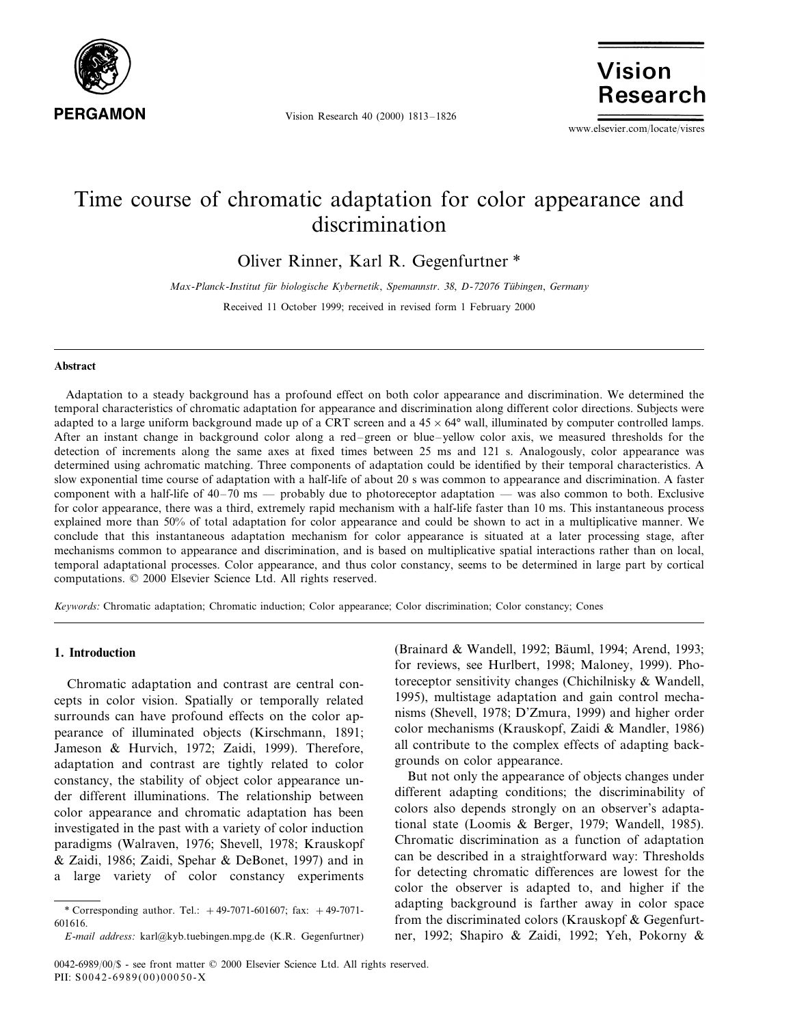

Vision Research 40 (2000) 1813–1826

Vision Research

www.elsevier.com/locate/visres

# Time course of chromatic adaptation for color appearance and discrimination

Oliver Rinner, Karl R. Gegenfurtner \*

*Max*-*Planck*-*Institut fu¨r biologische Kybernetik*, *Spemannstr*. 38, *D*-72076 *Tu¨bingen*, *Germany*

Received 11 October 1999; received in revised form 1 February 2000

## **Abstract**

Adaptation to a steady background has a profound effect on both color appearance and discrimination. We determined the temporal characteristics of chromatic adaptation for appearance and discrimination along different color directions. Subjects were adapted to a large uniform background made up of a CRT screen and a  $45 \times 64^{\circ}$  wall, illuminated by computer controlled lamps. After an instant change in background color along a red–green or blue–yellow color axis, we measured thresholds for the detection of increments along the same axes at fixed times between 25 ms and 121 s. Analogously, color appearance was determined using achromatic matching. Three components of adaptation could be identified by their temporal characteristics. A slow exponential time course of adaptation with a half-life of about 20 s was common to appearance and discrimination. A faster component with a half-life of  $40-70$  ms — probably due to photoreceptor adaptation — was also common to both. Exclusive for color appearance, there was a third, extremely rapid mechanism with a half-life faster than 10 ms. This instantaneous process explained more than 50% of total adaptation for color appearance and could be shown to act in a multiplicative manner. We conclude that this instantaneous adaptation mechanism for color appearance is situated at a later processing stage, after mechanisms common to appearance and discrimination, and is based on multiplicative spatial interactions rather than on local, temporal adaptational processes. Color appearance, and thus color constancy, seems to be determined in large part by cortical computations. © 2000 Elsevier Science Ltd. All rights reserved.

*Keywords*: Chromatic adaptation; Chromatic induction; Color appearance; Color discrimination; Color constancy; Cones

## **1. Introduction**

Chromatic adaptation and contrast are central concepts in color vision. Spatially or temporally related surrounds can have profound effects on the color appearance of illuminated objects (Kirschmann, 1891; Jameson & Hurvich, 1972; Zaidi, 1999). Therefore, adaptation and contrast are tightly related to color constancy, the stability of object color appearance under different illuminations. The relationship between color appearance and chromatic adaptation has been investigated in the past with a variety of color induction paradigms (Walraven, 1976; Shevell, 1978; Krauskopf & Zaidi, 1986; Zaidi, Spehar & DeBonet, 1997) and in a large variety of color constancy experiments

(Brainard & Wandell, 1992; Bäuml, 1994; Arend, 1993; for reviews, see Hurlbert, 1998; Maloney, 1999). Photoreceptor sensitivity changes (Chichilnisky & Wandell, 1995), multistage adaptation and gain control mechanisms (Shevell, 1978; D'Zmura, 1999) and higher order color mechanisms (Krauskopf, Zaidi & Mandler, 1986) all contribute to the complex effects of adapting backgrounds on color appearance.

But not only the appearance of objects changes under different adapting conditions; the discriminability of colors also depends strongly on an observer's adaptational state (Loomis & Berger, 1979; Wandell, 1985). Chromatic discrimination as a function of adaptation can be described in a straightforward way: Thresholds for detecting chromatic differences are lowest for the color the observer is adapted to, and higher if the adapting background is farther away in color space from the discriminated colors (Krauskopf & Gegenfurtner, 1992; Shapiro & Zaidi, 1992; Yeh, Pokorny &

<sup>\*</sup> Corresponding author. Tel.: +49-7071-601607; fax: +49-7071- 601616.

*E*-*mail address*: karl@kyb.tuebingen.mpg.de (K.R. Gegenfurtner)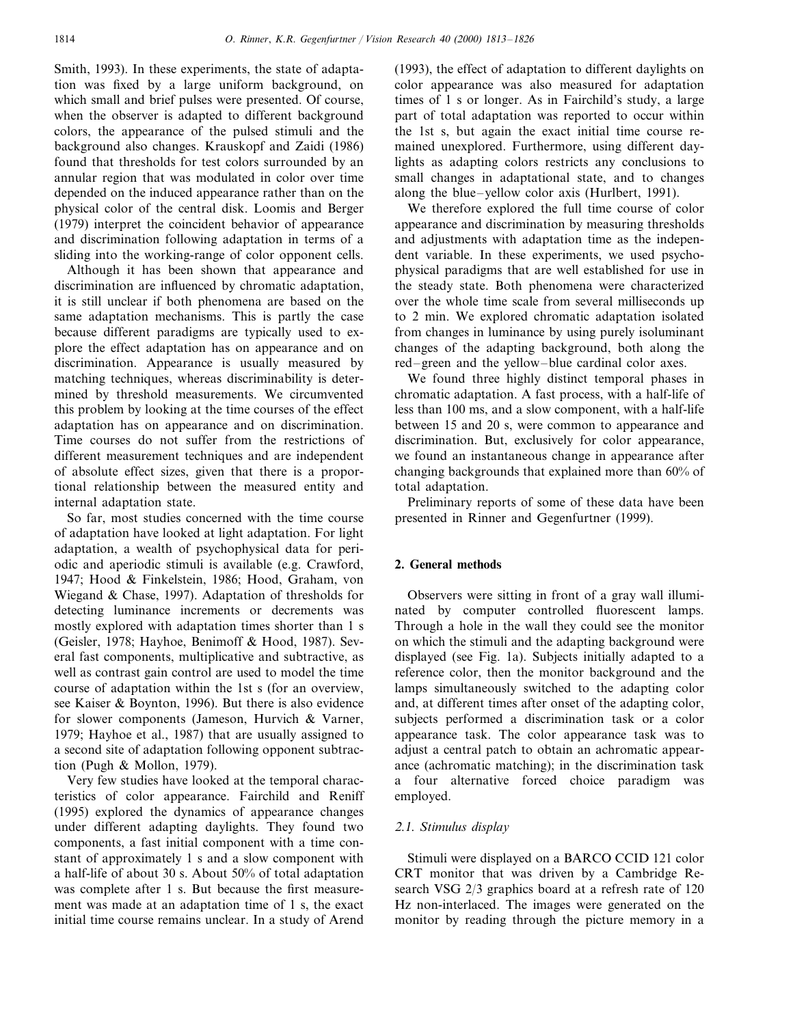Smith, 1993). In these experiments, the state of adaptation was fixed by a large uniform background, on which small and brief pulses were presented. Of course, when the observer is adapted to different background colors, the appearance of the pulsed stimuli and the background also changes. Krauskopf and Zaidi (1986) found that thresholds for test colors surrounded by an annular region that was modulated in color over time depended on the induced appearance rather than on the physical color of the central disk. Loomis and Berger (1979) interpret the coincident behavior of appearance and discrimination following adaptation in terms of a sliding into the working-range of color opponent cells.

Although it has been shown that appearance and discrimination are influenced by chromatic adaptation, it is still unclear if both phenomena are based on the same adaptation mechanisms. This is partly the case because different paradigms are typically used to explore the effect adaptation has on appearance and on discrimination. Appearance is usually measured by matching techniques, whereas discriminability is determined by threshold measurements. We circumvented this problem by looking at the time courses of the effect adaptation has on appearance and on discrimination. Time courses do not suffer from the restrictions of different measurement techniques and are independent of absolute effect sizes, given that there is a proportional relationship between the measured entity and internal adaptation state.

So far, most studies concerned with the time course of adaptation have looked at light adaptation. For light adaptation, a wealth of psychophysical data for periodic and aperiodic stimuli is available (e.g. Crawford, 1947; Hood & Finkelstein, 1986; Hood, Graham, von Wiegand & Chase, 1997). Adaptation of thresholds for detecting luminance increments or decrements was mostly explored with adaptation times shorter than 1 s (Geisler, 1978; Hayhoe, Benimoff & Hood, 1987). Several fast components, multiplicative and subtractive, as well as contrast gain control are used to model the time course of adaptation within the 1st s (for an overview, see Kaiser & Boynton, 1996). But there is also evidence for slower components (Jameson, Hurvich & Varner, 1979; Hayhoe et al., 1987) that are usually assigned to a second site of adaptation following opponent subtraction (Pugh & Mollon, 1979).

Very few studies have looked at the temporal characteristics of color appearance. Fairchild and Reniff (1995) explored the dynamics of appearance changes under different adapting daylights. They found two components, a fast initial component with a time constant of approximately 1 s and a slow component with a half-life of about 30 s. About 50% of total adaptation was complete after 1 s. But because the first measurement was made at an adaptation time of 1 s, the exact initial time course remains unclear. In a study of Arend

(1993), the effect of adaptation to different daylights on color appearance was also measured for adaptation times of 1 s or longer. As in Fairchild's study, a large part of total adaptation was reported to occur within the 1st s, but again the exact initial time course remained unexplored. Furthermore, using different daylights as adapting colors restricts any conclusions to small changes in adaptational state, and to changes along the blue–yellow color axis (Hurlbert, 1991).

We therefore explored the full time course of color appearance and discrimination by measuring thresholds and adjustments with adaptation time as the independent variable. In these experiments, we used psychophysical paradigms that are well established for use in the steady state. Both phenomena were characterized over the whole time scale from several milliseconds up to 2 min. We explored chromatic adaptation isolated from changes in luminance by using purely isoluminant changes of the adapting background, both along the red–green and the yellow–blue cardinal color axes.

We found three highly distinct temporal phases in chromatic adaptation. A fast process, with a half-life of less than 100 ms, and a slow component, with a half-life between 15 and 20 s, were common to appearance and discrimination. But, exclusively for color appearance, we found an instantaneous change in appearance after changing backgrounds that explained more than 60% of total adaptation.

Preliminary reports of some of these data have been presented in Rinner and Gegenfurtner (1999).

# **2. General methods**

Observers were sitting in front of a gray wall illuminated by computer controlled fluorescent lamps. Through a hole in the wall they could see the monitor on which the stimuli and the adapting background were displayed (see Fig. 1a). Subjects initially adapted to a reference color, then the monitor background and the lamps simultaneously switched to the adapting color and, at different times after onset of the adapting color, subjects performed a discrimination task or a color appearance task. The color appearance task was to adjust a central patch to obtain an achromatic appearance (achromatic matching); in the discrimination task a four alternative forced choice paradigm was employed.

## <sup>2</sup>.1. *Stimulus display*

Stimuli were displayed on a BARCO CCID 121 color CRT monitor that was driven by a Cambridge Research VSG 2/3 graphics board at a refresh rate of 120 Hz non-interlaced. The images were generated on the monitor by reading through the picture memory in a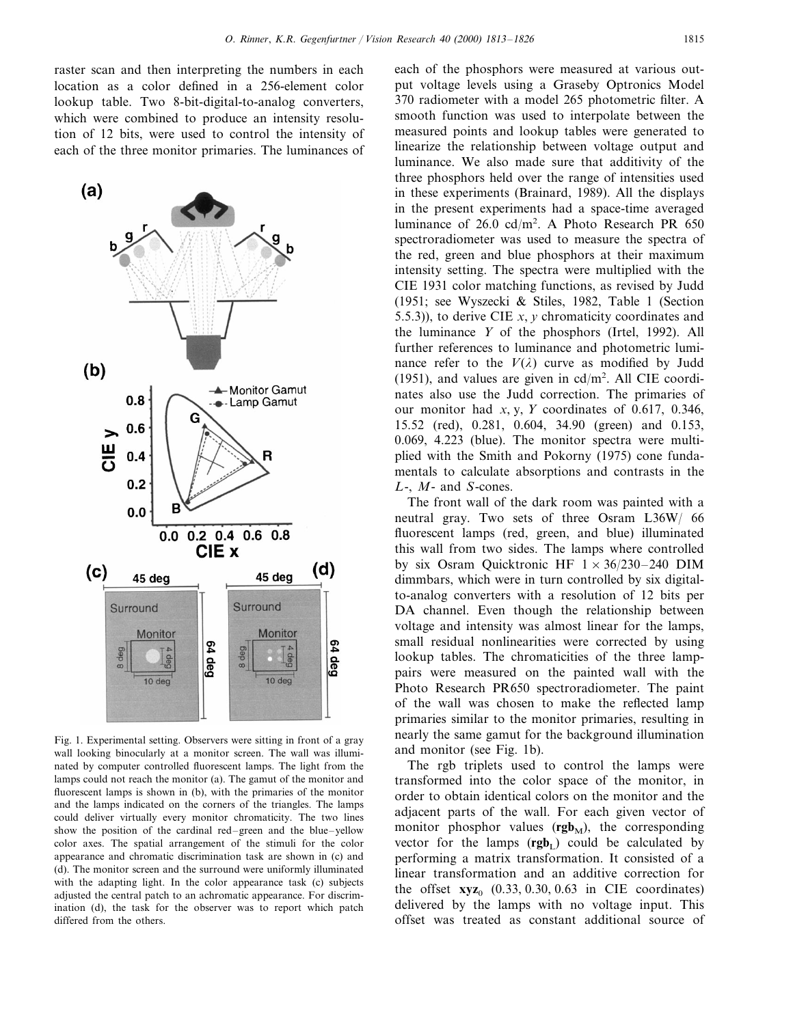raster scan and then interpreting the numbers in each location as a color defined in a 256-element color lookup table. Two 8-bit-digital-to-analog converters, which were combined to produce an intensity resolution of 12 bits, were used to control the intensity of each of the three monitor primaries. The luminances of



Fig. 1. Experimental setting. Observers were sitting in front of a gray wall looking binocularly at a monitor screen. The wall was illuminated by computer controlled fluorescent lamps. The light from the lamps could not reach the monitor (a). The gamut of the monitor and fluorescent lamps is shown in (b), with the primaries of the monitor and the lamps indicated on the corners of the triangles. The lamps could deliver virtually every monitor chromaticity. The two lines show the position of the cardinal red–green and the blue–yellow color axes. The spatial arrangement of the stimuli for the color appearance and chromatic discrimination task are shown in (c) and (d). The monitor screen and the surround were uniformly illuminated with the adapting light. In the color appearance task (c) subjects adjusted the central patch to an achromatic appearance. For discrimination (d), the task for the observer was to report which patch differed from the others.

each of the phosphors were measured at various output voltage levels using a Graseby Optronics Model 370 radiometer with a model 265 photometric filter. A smooth function was used to interpolate between the measured points and lookup tables were generated to linearize the relationship between voltage output and luminance. We also made sure that additivity of the three phosphors held over the range of intensities used in these experiments (Brainard, 1989). All the displays in the present experiments had a space-time averaged luminance of  $26.0 \text{ cd/m}^2$ . A Photo Research PR 650 spectroradiometer was used to measure the spectra of the red, green and blue phosphors at their maximum intensity setting. The spectra were multiplied with the CIE 1931 color matching functions, as revised by Judd (1951; see Wyszecki & Stiles, 1982, Table 1 (Section 5.5.3)), to derive CIE *x*, *y* chromaticity coordinates and the luminance *Y* of the phosphors (Irtel, 1992). All further references to luminance and photometric luminance refer to the  $V(\lambda)$  curve as modified by Judd (1951), and values are given in  $cd/m^2$ . All CIE coordinates also use the Judd correction. The primaries of our monitor had *x*, y, *Y* coordinates of 0.617, 0.346, 15.52 (red), 0.281, 0.604, 34.90 (green) and 0.153, 0.069, 4.223 (blue). The monitor spectra were multiplied with the Smith and Pokorny (1975) cone fundamentals to calculate absorptions and contrasts in the *L*-, *M*- and *S*-cones.

The front wall of the dark room was painted with a neutral gray. Two sets of three Osram L36W/ 66 fluorescent lamps (red, green, and blue) illuminated this wall from two sides. The lamps where controlled by six Osram Quicktronic HF  $1 \times 36/230 - 240$  DIM dimmbars, which were in turn controlled by six digitalto-analog converters with a resolution of 12 bits per DA channel. Even though the relationship between voltage and intensity was almost linear for the lamps, small residual nonlinearities were corrected by using lookup tables. The chromaticities of the three lamppairs were measured on the painted wall with the Photo Research PR650 spectroradiometer. The paint of the wall was chosen to make the reflected lamp primaries similar to the monitor primaries, resulting in nearly the same gamut for the background illumination and monitor (see Fig. 1b).

The rgb triplets used to control the lamps were transformed into the color space of the monitor, in order to obtain identical colors on the monitor and the adjacent parts of the wall. For each given vector of monitor phosphor values  $(\mathbf{rgb}_M)$ , the corresponding vector for the lamps  $(\mathbf{rgb}_L)$  could be calculated by performing a matrix transformation. It consisted of a linear transformation and an additive correction for the offset  $xyz_0$  (0.33, 0.30, 0.63 in CIE coordinates) delivered by the lamps with no voltage input. This offset was treated as constant additional source of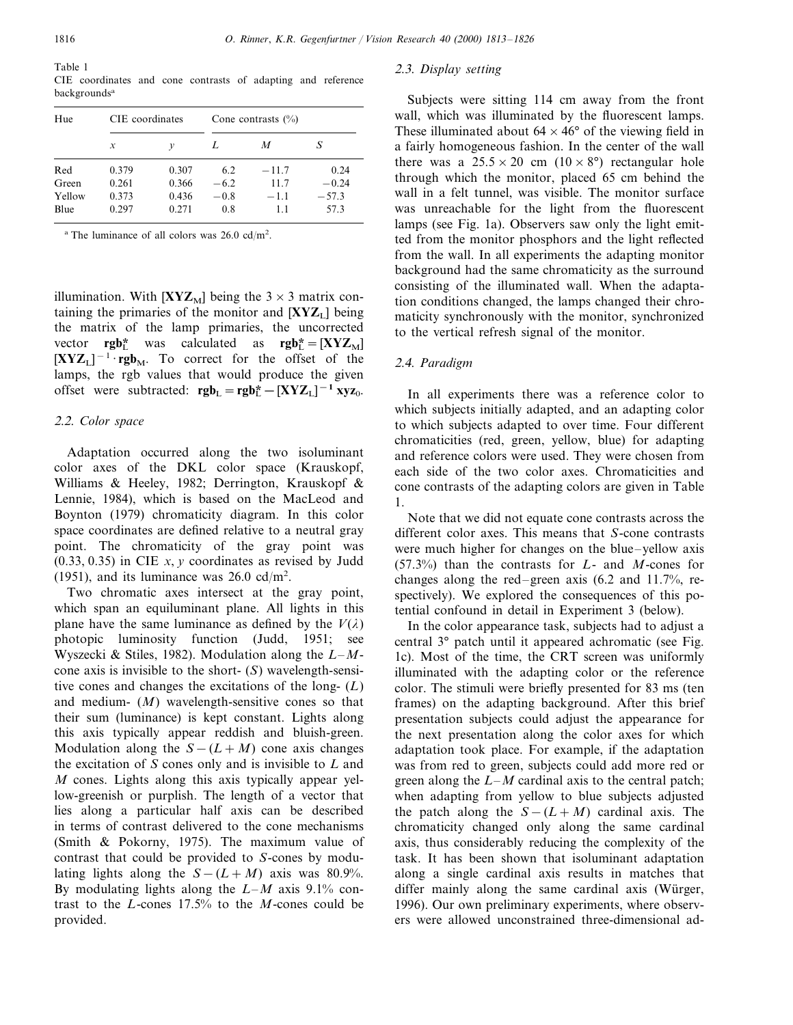| Table 1 |                                                              |  |  |  |  |
|---------|--------------------------------------------------------------|--|--|--|--|
|         | CIE coordinates and cone contrasts of adapting and reference |  |  |  |  |
|         | backgrounds <sup>a</sup>                                     |  |  |  |  |

| Hue    | CIE coordinates |       | Cone contrasts $(\% )$ |         |         |  |
|--------|-----------------|-------|------------------------|---------|---------|--|
|        | $\mathcal{X}$   | v     |                        | M       | S       |  |
| Red    | 0.379           | 0.307 | 6.2                    | $-11.7$ | 0.24    |  |
| Green  | 0.261           | 0.366 | $-6.2$                 | 11.7    | $-0.24$ |  |
| Yellow | 0.373           | 0.436 | $-0.8$                 | $-1.1$  | $-57.3$ |  |
| Blue   | 0.297           | 0.271 | 0.8                    | 11      | 57.3    |  |

<sup>a</sup> The luminance of all colors was  $26.0 \text{ cd/m}^2$ .

illumination. With  $[XYZ_M]$  being the  $3 \times 3$  matrix containing the primaries of the monitor and  $[XYZ_L]$  being the matrix of the lamp primaries, the uncorrected vector **rgb**<sup>\*</sup><sub>L</sub> was calculated as **rgb**<sup>\*</sup><sub>L</sub> = [XYZ<sub>M</sub>]  $[XYZ_L]^{-1} \cdot \mathbf{rgb}_M$ . To correct for the offset of the lamps, the rgb values that would produce the given offset were subtracted:  $\mathbf{rgb}_L = \mathbf{rgb}_L^* - [\mathbf{XYZ}_L]^{-1} \mathbf{xyz}_0$ .

## <sup>2</sup>.2. *Color space*

Adaptation occurred along the two isoluminant color axes of the DKL color space (Krauskopf, Williams & Heeley, 1982; Derrington, Krauskopf & Lennie, 1984), which is based on the MacLeod and Boynton (1979) chromaticity diagram. In this color space coordinates are defined relative to a neutral gray point. The chromaticity of the gray point was (0.33, 0.35) in CIE *x*, *y* coordinates as revised by Judd (1951), and its luminance was  $26.0 \text{ cd/m}^2$ .

Two chromatic axes intersect at the gray point, which span an equiluminant plane. All lights in this plane have the same luminance as defined by the  $V(\lambda)$ photopic luminosity function (Judd, 1951; see Wyszecki & Stiles, 1982). Modulation along the *L*–*M*cone axis is invisible to the short- (*S*) wavelength-sensitive cones and changes the excitations of the long- (*L*) and medium- (*M*) wavelength-sensitive cones so that their sum (luminance) is kept constant. Lights along this axis typically appear reddish and bluish-green. Modulation along the  $S-(L+M)$  cone axis changes the excitation of *S* cones only and is invisible to *L* and *M* cones. Lights along this axis typically appear yellow-greenish or purplish. The length of a vector that lies along a particular half axis can be described in terms of contrast delivered to the cone mechanisms (Smith & Pokorny, 1975). The maximum value of contrast that could be provided to *S*-cones by modulating lights along the  $S-(L+M)$  axis was 80.9%. By modulating lights along the *L*–*M* axis 9.1% contrast to the *L*-cones 17.5% to the *M*-cones could be provided.

# <sup>2</sup>.3. *Display setting*

Subjects were sitting 114 cm away from the front wall, which was illuminated by the fluorescent lamps. These illuminated about  $64 \times 46^{\circ}$  of the viewing field in a fairly homogeneous fashion. In the center of the wall there was a  $25.5 \times 20$  cm  $(10 \times 8^{\circ})$  rectangular hole through which the monitor, placed 65 cm behind the wall in a felt tunnel, was visible. The monitor surface was unreachable for the light from the fluorescent lamps (see Fig. 1a). Observers saw only the light emitted from the monitor phosphors and the light reflected from the wall. In all experiments the adapting monitor background had the same chromaticity as the surround consisting of the illuminated wall. When the adaptation conditions changed, the lamps changed their chromaticity synchronously with the monitor, synchronized to the vertical refresh signal of the monitor.

## <sup>2</sup>.4. *Paradigm*

In all experiments there was a reference color to which subjects initially adapted, and an adapting color to which subjects adapted to over time. Four different chromaticities (red, green, yellow, blue) for adapting and reference colors were used. They were chosen from each side of the two color axes. Chromaticities and cone contrasts of the adapting colors are given in Table 1.

Note that we did not equate cone contrasts across the different color axes. This means that *S*-cone contrasts were much higher for changes on the blue–yellow axis (57.3%) than the contrasts for *L*- and *M*-cones for changes along the red–green axis (6.2 and 11.7%, respectively). We explored the consequences of this potential confound in detail in Experiment 3 (below).

In the color appearance task, subjects had to adjust a central 3° patch until it appeared achromatic (see Fig. 1c). Most of the time, the CRT screen was uniformly illuminated with the adapting color or the reference color. The stimuli were briefly presented for 83 ms (ten frames) on the adapting background. After this brief presentation subjects could adjust the appearance for the next presentation along the color axes for which adaptation took place. For example, if the adaptation was from red to green, subjects could add more red or green along the *L*–*M* cardinal axis to the central patch; when adapting from yellow to blue subjects adjusted the patch along the  $S-(L+M)$  cardinal axis. The chromaticity changed only along the same cardinal axis, thus considerably reducing the complexity of the task. It has been shown that isoluminant adaptation along a single cardinal axis results in matches that differ mainly along the same cardinal axis (Würger, 1996). Our own preliminary experiments, where observers were allowed unconstrained three-dimensional ad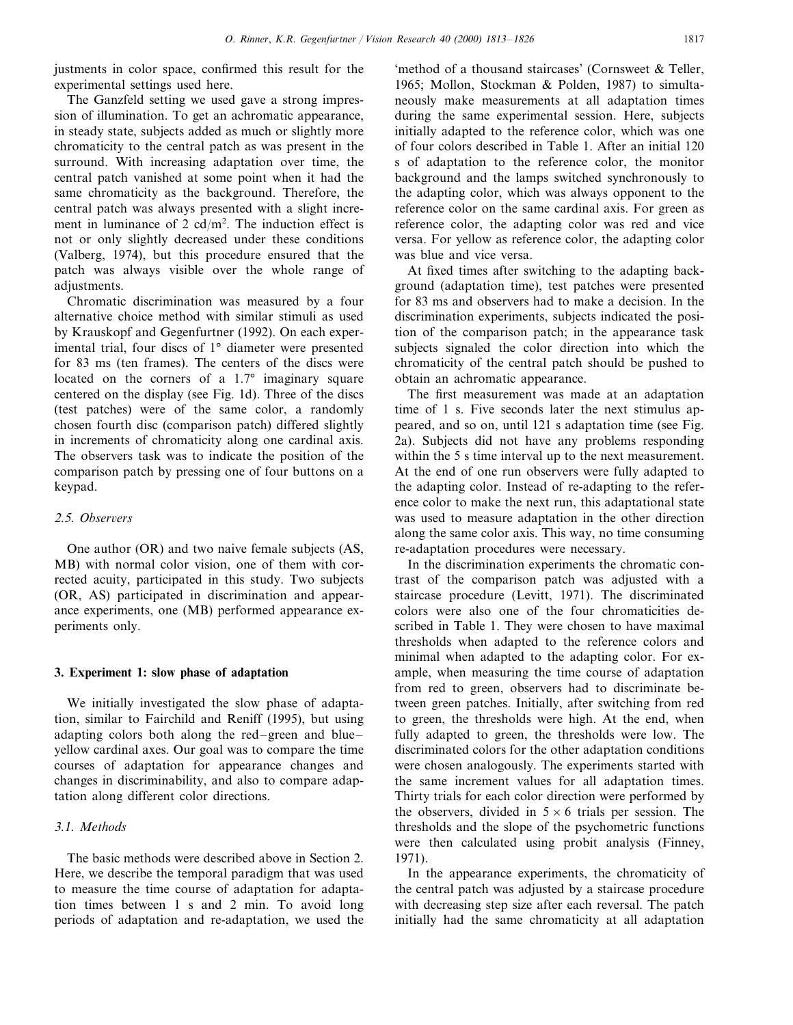justments in color space, confirmed this result for the experimental settings used here.

The Ganzfeld setting we used gave a strong impression of illumination. To get an achromatic appearance, in steady state, subjects added as much or slightly more chromaticity to the central patch as was present in the surround. With increasing adaptation over time, the central patch vanished at some point when it had the same chromaticity as the background. Therefore, the central patch was always presented with a slight increment in luminance of  $2 \text{ cd/m}^2$ . The induction effect is not or only slightly decreased under these conditions (Valberg, 1974), but this procedure ensured that the patch was always visible over the whole range of adjustments.

Chromatic discrimination was measured by a four alternative choice method with similar stimuli as used by Krauskopf and Gegenfurtner (1992). On each experimental trial, four discs of 1° diameter were presented for 83 ms (ten frames). The centers of the discs were located on the corners of a 1.7° imaginary square centered on the display (see Fig. 1d). Three of the discs (test patches) were of the same color, a randomly chosen fourth disc (comparison patch) differed slightly in increments of chromaticity along one cardinal axis. The observers task was to indicate the position of the comparison patch by pressing one of four buttons on a keypad.

## 2.5. Observers

One author (OR) and two naive female subjects (AS, MB) with normal color vision, one of them with corrected acuity, participated in this study. Two subjects (OR, AS) participated in discrimination and appearance experiments, one (MB) performed appearance experiments only.

## **3. Experiment 1: slow phase of adaptation**

We initially investigated the slow phase of adaptation, similar to Fairchild and Reniff (1995), but using adapting colors both along the red–green and blue– yellow cardinal axes. Our goal was to compare the time courses of adaptation for appearance changes and changes in discriminability, and also to compare adaptation along different color directions.

# 3.1. *Methods*

The basic methods were described above in Section 2. Here, we describe the temporal paradigm that was used to measure the time course of adaptation for adaptation times between 1 s and 2 min. To avoid long periods of adaptation and re-adaptation, we used the

'method of a thousand staircases' (Cornsweet & Teller, 1965; Mollon, Stockman & Polden, 1987) to simultaneously make measurements at all adaptation times during the same experimental session. Here, subjects initially adapted to the reference color, which was one of four colors described in Table 1. After an initial 120 s of adaptation to the reference color, the monitor background and the lamps switched synchronously to the adapting color, which was always opponent to the reference color on the same cardinal axis. For green as reference color, the adapting color was red and vice versa. For yellow as reference color, the adapting color was blue and vice versa.

At fixed times after switching to the adapting background (adaptation time), test patches were presented for 83 ms and observers had to make a decision. In the discrimination experiments, subjects indicated the position of the comparison patch; in the appearance task subjects signaled the color direction into which the chromaticity of the central patch should be pushed to obtain an achromatic appearance.

The first measurement was made at an adaptation time of 1 s. Five seconds later the next stimulus appeared, and so on, until 121 s adaptation time (see Fig. 2a). Subjects did not have any problems responding within the 5 s time interval up to the next measurement. At the end of one run observers were fully adapted to the adapting color. Instead of re-adapting to the reference color to make the next run, this adaptational state was used to measure adaptation in the other direction along the same color axis. This way, no time consuming re-adaptation procedures were necessary.

In the discrimination experiments the chromatic contrast of the comparison patch was adjusted with a staircase procedure (Levitt, 1971). The discriminated colors were also one of the four chromaticities described in Table 1. They were chosen to have maximal thresholds when adapted to the reference colors and minimal when adapted to the adapting color. For example, when measuring the time course of adaptation from red to green, observers had to discriminate between green patches. Initially, after switching from red to green, the thresholds were high. At the end, when fully adapted to green, the thresholds were low. The discriminated colors for the other adaptation conditions were chosen analogously. The experiments started with the same increment values for all adaptation times. Thirty trials for each color direction were performed by the observers, divided in  $5 \times 6$  trials per session. The thresholds and the slope of the psychometric functions were then calculated using probit analysis (Finney, 1971).

In the appearance experiments, the chromaticity of the central patch was adjusted by a staircase procedure with decreasing step size after each reversal. The patch initially had the same chromaticity at all adaptation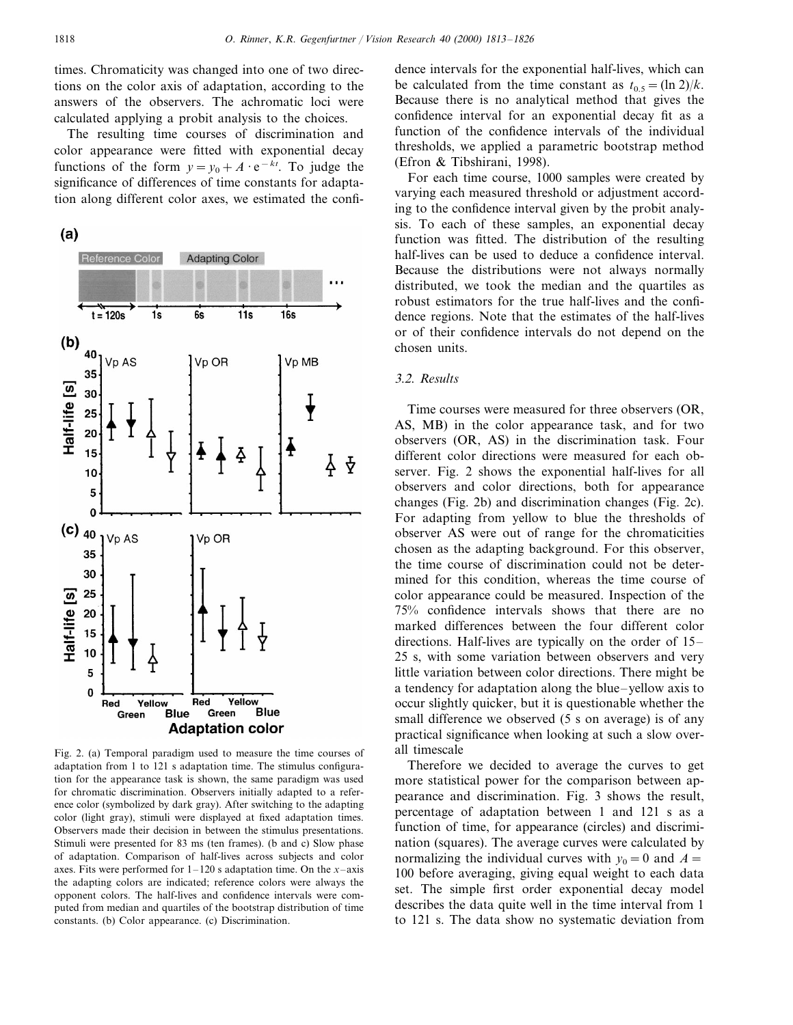times. Chromaticity was changed into one of two directions on the color axis of adaptation, according to the answers of the observers. The achromatic loci were calculated applying a probit analysis to the choices.

The resulting time courses of discrimination and color appearance were fitted with exponential decay functions of the form  $y = y_0 + A \cdot e^{-kt}$ . To judge the significance of differences of time constants for adaptation along different color axes, we estimated the confi-





Fig. 2. (a) Temporal paradigm used to measure the time courses of adaptation from 1 to 121 s adaptation time. The stimulus configuration for the appearance task is shown, the same paradigm was used for chromatic discrimination. Observers initially adapted to a reference color (symbolized by dark gray). After switching to the adapting color (light gray), stimuli were displayed at fixed adaptation times. Observers made their decision in between the stimulus presentations. Stimuli were presented for 83 ms (ten frames). (b and c) Slow phase of adaptation. Comparison of half-lives across subjects and color axes. Fits were performed for  $1-120$  s adaptation time. On the *x*-axis the adapting colors are indicated; reference colors were always the opponent colors. The half-lives and confidence intervals were computed from median and quartiles of the bootstrap distribution of time constants. (b) Color appearance. (c) Discrimination.

dence intervals for the exponential half-lives, which can be calculated from the time constant as  $t_{0.5} = (\ln 2)/k$ . Because there is no analytical method that gives the confidence interval for an exponential decay fit as a function of the confidence intervals of the individual thresholds, we applied a parametric bootstrap method (Efron & Tibshirani, 1998).

For each time course, 1000 samples were created by varying each measured threshold or adjustment according to the confidence interval given by the probit analysis. To each of these samples, an exponential decay function was fitted. The distribution of the resulting half-lives can be used to deduce a confidence interval. Because the distributions were not always normally distributed, we took the median and the quartiles as robust estimators for the true half-lives and the confidence regions. Note that the estimates of the half-lives or of their confidence intervals do not depend on the chosen units.

## 3.2. *Results*

Time courses were measured for three observers (OR, AS, MB) in the color appearance task, and for two observers (OR, AS) in the discrimination task. Four different color directions were measured for each observer. Fig. 2 shows the exponential half-lives for all observers and color directions, both for appearance changes (Fig. 2b) and discrimination changes (Fig. 2c). For adapting from yellow to blue the thresholds of observer AS were out of range for the chromaticities chosen as the adapting background. For this observer, the time course of discrimination could not be determined for this condition, whereas the time course of color appearance could be measured. Inspection of the 75% confidence intervals shows that there are no marked differences between the four different color directions. Half-lives are typically on the order of 15– 25 s, with some variation between observers and very little variation between color directions. There might be a tendency for adaptation along the blue–yellow axis to occur slightly quicker, but it is questionable whether the small difference we observed (5 s on average) is of any practical significance when looking at such a slow overall timescale

Therefore we decided to average the curves to get more statistical power for the comparison between appearance and discrimination. Fig. 3 shows the result, percentage of adaptation between 1 and 121 s as a function of time, for appearance (circles) and discrimination (squares). The average curves were calculated by normalizing the individual curves with  $y_0=0$  and  $A=$ 100 before averaging, giving equal weight to each data set. The simple first order exponential decay model describes the data quite well in the time interval from 1 to 121 s. The data show no systematic deviation from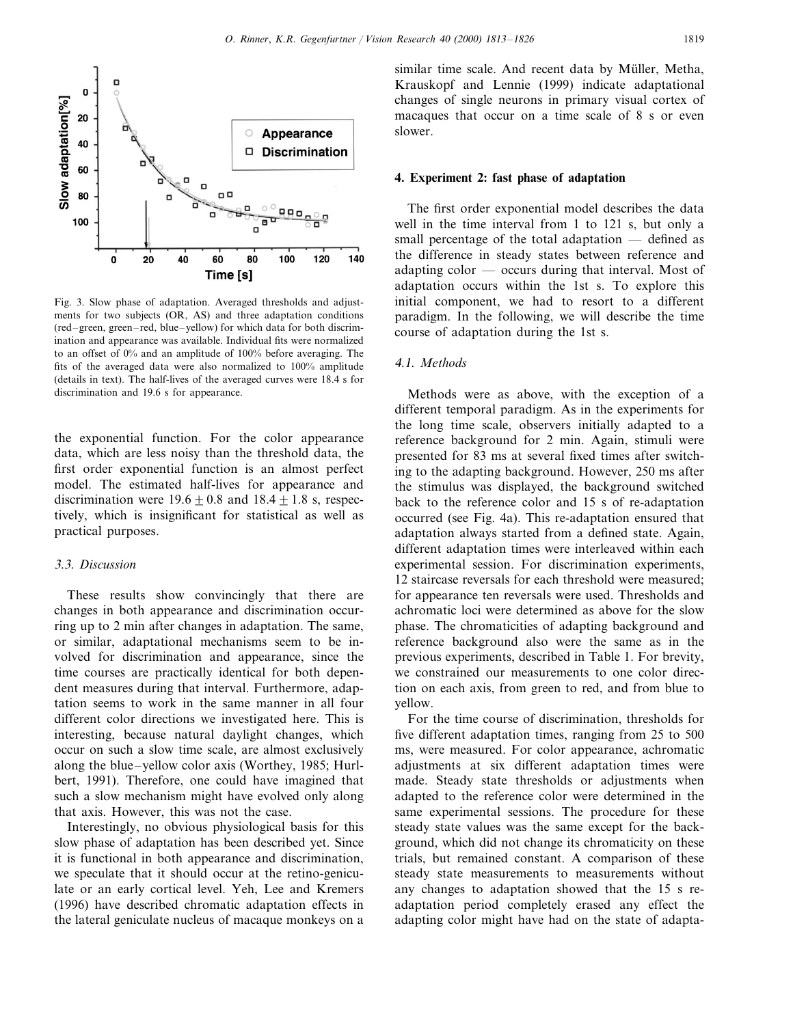

Fig. 3. Slow phase of adaptation. Averaged thresholds and adjustments for two subjects (OR, AS) and three adaptation conditions (red–green, green–red, blue–yellow) for which data for both discrimination and appearance was available. Individual fits were normalized to an offset of 0% and an amplitude of 100% before averaging. The fits of the averaged data were also normalized to 100% amplitude (details in text). The half-lives of the averaged curves were 18.4 s for discrimination and 19.6 s for appearance.

the exponential function. For the color appearance data, which are less noisy than the threshold data, the first order exponential function is an almost perfect model. The estimated half-lives for appearance and discrimination were  $19.6 \pm 0.8$  and  $18.4 \pm 1.8$  s, respectively, which is insignificant for statistical as well as practical purposes.

# 3.3. *Discussion*

These results show convincingly that there are changes in both appearance and discrimination occurring up to 2 min after changes in adaptation. The same, or similar, adaptational mechanisms seem to be involved for discrimination and appearance, since the time courses are practically identical for both dependent measures during that interval. Furthermore, adaptation seems to work in the same manner in all four different color directions we investigated here. This is interesting, because natural daylight changes, which occur on such a slow time scale, are almost exclusively along the blue–yellow color axis (Worthey, 1985; Hurlbert, 1991). Therefore, one could have imagined that such a slow mechanism might have evolved only along that axis. However, this was not the case.

Interestingly, no obvious physiological basis for this slow phase of adaptation has been described yet. Since it is functional in both appearance and discrimination, we speculate that it should occur at the retino-geniculate or an early cortical level. Yeh, Lee and Kremers (1996) have described chromatic adaptation effects in the lateral geniculate nucleus of macaque monkeys on a

similar time scale. And recent data by Müller, Metha, Krauskopf and Lennie (1999) indicate adaptational changes of single neurons in primary visual cortex of macaques that occur on a time scale of 8 s or even slower.

#### **4. Experiment 2: fast phase of adaptation**

The first order exponential model describes the data well in the time interval from 1 to 121 s, but only a small percentage of the total adaptation — defined as the difference in steady states between reference and adapting color — occurs during that interval. Most of adaptation occurs within the 1st s. To explore this initial component, we had to resort to a different paradigm. In the following, we will describe the time course of adaptation during the 1st s.

# <sup>4</sup>.1. *Methods*

Methods were as above, with the exception of a different temporal paradigm. As in the experiments for the long time scale, observers initially adapted to a reference background for 2 min. Again, stimuli were presented for 83 ms at several fixed times after switching to the adapting background. However, 250 ms after the stimulus was displayed, the background switched back to the reference color and 15 s of re-adaptation occurred (see Fig. 4a). This re-adaptation ensured that adaptation always started from a defined state. Again, different adaptation times were interleaved within each experimental session. For discrimination experiments, 12 staircase reversals for each threshold were measured; for appearance ten reversals were used. Thresholds and achromatic loci were determined as above for the slow phase. The chromaticities of adapting background and reference background also were the same as in the previous experiments, described in Table 1. For brevity, we constrained our measurements to one color direction on each axis, from green to red, and from blue to yellow.

For the time course of discrimination, thresholds for five different adaptation times, ranging from 25 to 500 ms, were measured. For color appearance, achromatic adjustments at six different adaptation times were made. Steady state thresholds or adjustments when adapted to the reference color were determined in the same experimental sessions. The procedure for these steady state values was the same except for the background, which did not change its chromaticity on these trials, but remained constant. A comparison of these steady state measurements to measurements without any changes to adaptation showed that the 15 s readaptation period completely erased any effect the adapting color might have had on the state of adapta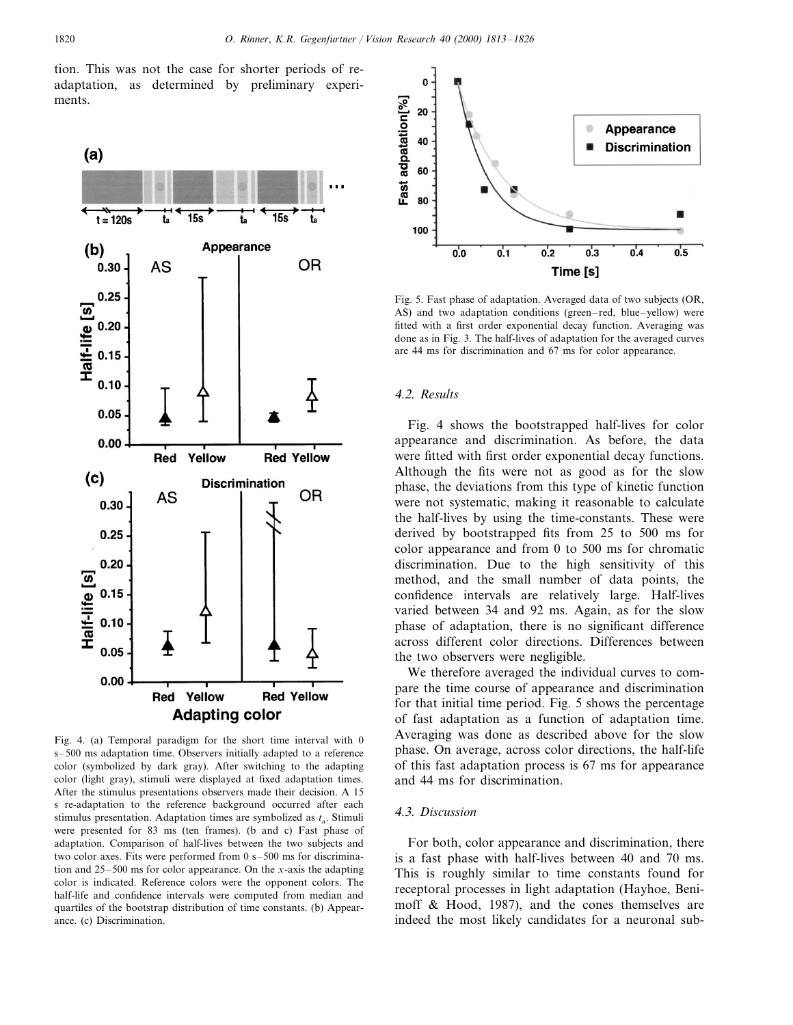tion. This was not the case for shorter periods of readaptation, as determined by preliminary experiments.



Fig. 4. (a) Temporal paradigm for the short time interval with 0 s–500 ms adaptation time. Observers initially adapted to a reference color (symbolized by dark gray). After switching to the adapting color (light gray), stimuli were displayed at fixed adaptation times. After the stimulus presentations observers made their decision. A 15 s re-adaptation to the reference background occurred after each stimulus presentation. Adaptation times are symbolized as  $t_a$ . Stimuli were presented for 83 ms (ten frames). (b and c) Fast phase of adaptation. Comparison of half-lives between the two subjects and two color axes. Fits were performed from 0 s–500 ms for discrimination and 25–500 ms for color appearance. On the *x*-axis the adapting color is indicated. Reference colors were the opponent colors. The half-life and confidence intervals were computed from median and quartiles of the bootstrap distribution of time constants. (b) Appearance. (c) Discrimination.



Fig. 5. Fast phase of adaptation. Averaged data of two subjects (OR, AS) and two adaptation conditions (green–red, blue–yellow) were fitted with a first order exponential decay function. Averaging was done as in Fig. 3. The half-lives of adaptation for the averaged curves are 44 ms for discrimination and 67 ms for color appearance.

#### <sup>4</sup>.2. *Results*

Fig. 4 shows the bootstrapped half-lives for color appearance and discrimination. As before, the data were fitted with first order exponential decay functions. Although the fits were not as good as for the slow phase, the deviations from this type of kinetic function were not systematic, making it reasonable to calculate the half-lives by using the time-constants. These were derived by bootstrapped fits from 25 to 500 ms for color appearance and from 0 to 500 ms for chromatic discrimination. Due to the high sensitivity of this method, and the small number of data points, the confidence intervals are relatively large. Half-lives varied between 34 and 92 ms. Again, as for the slow phase of adaptation, there is no significant difference across different color directions. Differences between the two observers were negligible.

We therefore averaged the individual curves to compare the time course of appearance and discrimination for that initial time period. Fig. 5 shows the percentage of fast adaptation as a function of adaptation time. Averaging was done as described above for the slow phase. On average, across color directions, the half-life of this fast adaptation process is 67 ms for appearance and 44 ms for discrimination.

## <sup>4</sup>.3. *Discussion*

For both, color appearance and discrimination, there is a fast phase with half-lives between 40 and 70 ms. This is roughly similar to time constants found for receptoral processes in light adaptation (Hayhoe, Benimoff & Hood, 1987), and the cones themselves are indeed the most likely candidates for a neuronal sub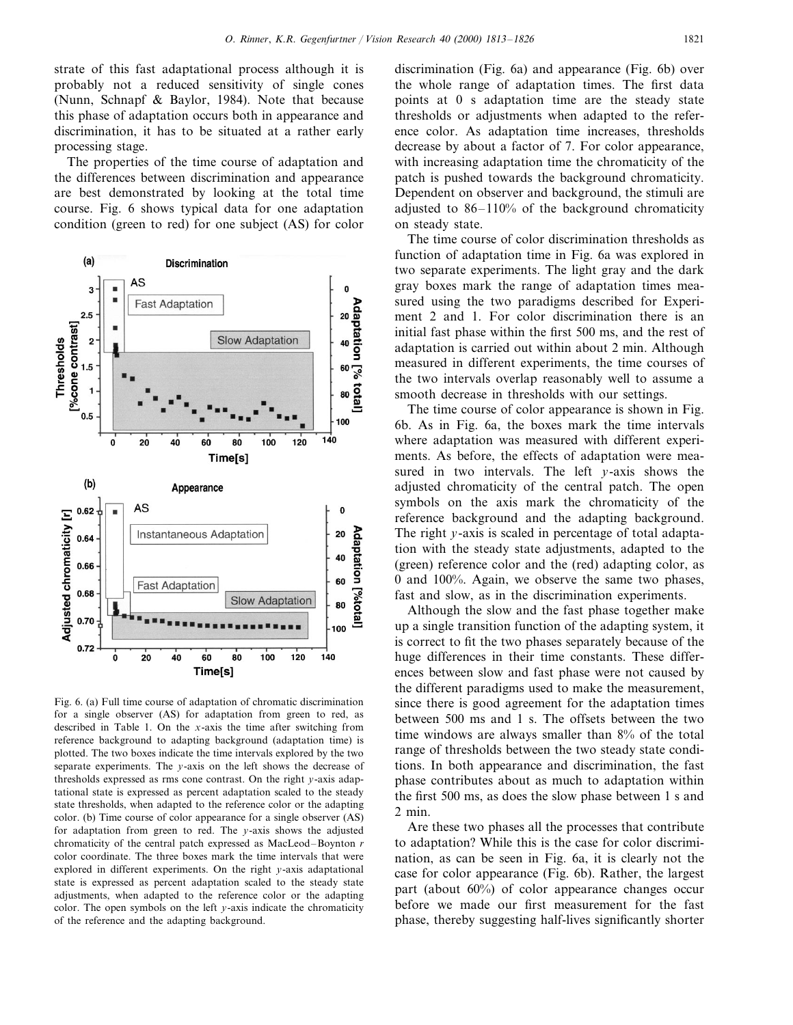strate of this fast adaptational process although it is probably not a reduced sensitivity of single cones (Nunn, Schnapf & Baylor, 1984). Note that because this phase of adaptation occurs both in appearance and discrimination, it has to be situated at a rather early processing stage.

The properties of the time course of adaptation and the differences between discrimination and appearance are best demonstrated by looking at the total time course. Fig. 6 shows typical data for one adaptation condition (green to red) for one subject (AS) for color



Fig. 6. (a) Full time course of adaptation of chromatic discrimination for a single observer (AS) for adaptation from green to red, as described in Table 1. On the *x*-axis the time after switching from reference background to adapting background (adaptation time) is plotted. The two boxes indicate the time intervals explored by the two separate experiments. The *y*-axis on the left shows the decrease of thresholds expressed as rms cone contrast. On the right *y*-axis adaptational state is expressed as percent adaptation scaled to the steady state thresholds, when adapted to the reference color or the adapting color. (b) Time course of color appearance for a single observer (AS) for adaptation from green to red. The *y*-axis shows the adjusted chromaticity of the central patch expressed as MacLeod–Boynton *r* color coordinate. The three boxes mark the time intervals that were explored in different experiments. On the right *y*-axis adaptational state is expressed as percent adaptation scaled to the steady state adjustments, when adapted to the reference color or the adapting color. The open symbols on the left *y*-axis indicate the chromaticity of the reference and the adapting background.

discrimination (Fig. 6a) and appearance (Fig. 6b) over the whole range of adaptation times. The first data points at 0 s adaptation time are the steady state thresholds or adjustments when adapted to the reference color. As adaptation time increases, thresholds decrease by about a factor of 7. For color appearance, with increasing adaptation time the chromaticity of the patch is pushed towards the background chromaticity. Dependent on observer and background, the stimuli are adjusted to 86–110% of the background chromaticity on steady state.

The time course of color discrimination thresholds as function of adaptation time in Fig. 6a was explored in two separate experiments. The light gray and the dark gray boxes mark the range of adaptation times measured using the two paradigms described for Experiment 2 and 1. For color discrimination there is an initial fast phase within the first 500 ms, and the rest of adaptation is carried out within about 2 min. Although measured in different experiments, the time courses of the two intervals overlap reasonably well to assume a smooth decrease in thresholds with our settings.

The time course of color appearance is shown in Fig. 6b. As in Fig. 6a, the boxes mark the time intervals where adaptation was measured with different experiments. As before, the effects of adaptation were measured in two intervals. The left *y*-axis shows the adjusted chromaticity of the central patch. The open symbols on the axis mark the chromaticity of the reference background and the adapting background. The right *y*-axis is scaled in percentage of total adaptation with the steady state adjustments, adapted to the (green) reference color and the (red) adapting color, as 0 and 100%. Again, we observe the same two phases, fast and slow, as in the discrimination experiments.

Although the slow and the fast phase together make up a single transition function of the adapting system, it is correct to fit the two phases separately because of the huge differences in their time constants. These differences between slow and fast phase were not caused by the different paradigms used to make the measurement, since there is good agreement for the adaptation times between 500 ms and 1 s. The offsets between the two time windows are always smaller than 8% of the total range of thresholds between the two steady state conditions. In both appearance and discrimination, the fast phase contributes about as much to adaptation within the first 500 ms, as does the slow phase between 1 s and 2 min.

Are these two phases all the processes that contribute to adaptation? While this is the case for color discrimination, as can be seen in Fig. 6a, it is clearly not the case for color appearance (Fig. 6b). Rather, the largest part (about 60%) of color appearance changes occur before we made our first measurement for the fast phase, thereby suggesting half-lives significantly shorter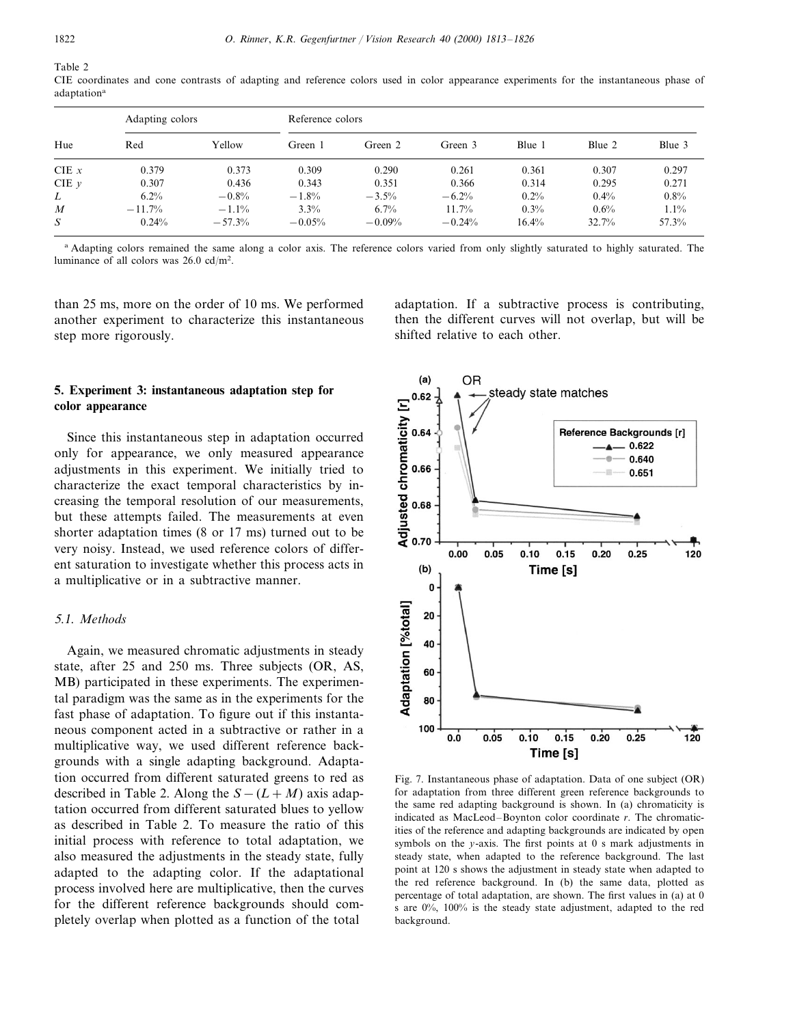Table 2

CIE coordinates and cone contrasts of adapting and reference colors used in color appearance experiments for the instantaneous phase of adaptation<sup>a</sup>

| Hue       | Adapting colors |          |          | Reference colors |          |        |        |         |  |  |  |
|-----------|-----------------|----------|----------|------------------|----------|--------|--------|---------|--|--|--|
|           | Red             | Yellow   | Green 1  | Green 2          | Green 3  | Blue 1 | Blue 2 | Blue 3  |  |  |  |
| CIE $x$   | 0.379           | 0.373    | 0.309    | 0.290            | 0.261    | 0.361  | 0.307  | 0.297   |  |  |  |
| CIE $\nu$ | 0.307           | 0.436    | 0.343    | 0.351            | 0.366    | 0.314  | 0.295  | 0.271   |  |  |  |
| L         | $6.2\%$         | $-0.8%$  | $-1.8%$  | $-3.5%$          | $-6.2%$  | 0.2%   | 0.4%   | $0.8\%$ |  |  |  |
| M         | $-11.7%$        | $-1.1\%$ | 3.3%     | 6.7%             | 11.7%    | 0.3%   | 0.6%   | $1.1\%$ |  |  |  |
| S         | 0.24%           | $-57.3%$ | $-0.05%$ | $-0.09%$         | $-0.24%$ | 16.4%  | 32.7%  | 57.3%   |  |  |  |

<sup>a</sup> Adapting colors remained the same along a color axis. The reference colors varied from only slightly saturated to highly saturated. The luminance of all colors was  $26.0 \text{ cd/m}^2$ .

than 25 ms, more on the order of 10 ms. We performed another experiment to characterize this instantaneous step more rigorously.

# **5. Experiment 3: instantaneous adaptation step for color appearance**

Since this instantaneous step in adaptation occurred only for appearance, we only measured appearance adjustments in this experiment. We initially tried to characterize the exact temporal characteristics by increasing the temporal resolution of our measurements, but these attempts failed. The measurements at even shorter adaptation times (8 or 17 ms) turned out to be very noisy. Instead, we used reference colors of different saturation to investigate whether this process acts in a multiplicative or in a subtractive manner.

#### <sup>5</sup>.1. *Methods*

Again, we measured chromatic adjustments in steady state, after 25 and 250 ms. Three subjects (OR, AS, MB) participated in these experiments. The experimental paradigm was the same as in the experiments for the fast phase of adaptation. To figure out if this instantaneous component acted in a subtractive or rather in a multiplicative way, we used different reference backgrounds with a single adapting background. Adaptation occurred from different saturated greens to red as described in Table 2. Along the  $S-(L+M)$  axis adaptation occurred from different saturated blues to yellow as described in Table 2. To measure the ratio of this initial process with reference to total adaptation, we also measured the adjustments in the steady state, fully adapted to the adapting color. If the adaptational process involved here are multiplicative, then the curves for the different reference backgrounds should completely overlap when plotted as a function of the total

adaptation. If a subtractive process is contributing, then the different curves will not overlap, but will be shifted relative to each other.



Fig. 7. Instantaneous phase of adaptation. Data of one subject (OR) for adaptation from three different green reference backgrounds to the same red adapting background is shown. In (a) chromaticity is indicated as MacLeod–Boynton color coordinate *r*. The chromaticities of the reference and adapting backgrounds are indicated by open symbols on the *y*-axis. The first points at 0 s mark adjustments in steady state, when adapted to the reference background. The last point at 120 s shows the adjustment in steady state when adapted to the red reference background. In (b) the same data, plotted as percentage of total adaptation, are shown. The first values in (a) at 0 s are 0%, 100% is the steady state adjustment, adapted to the red background.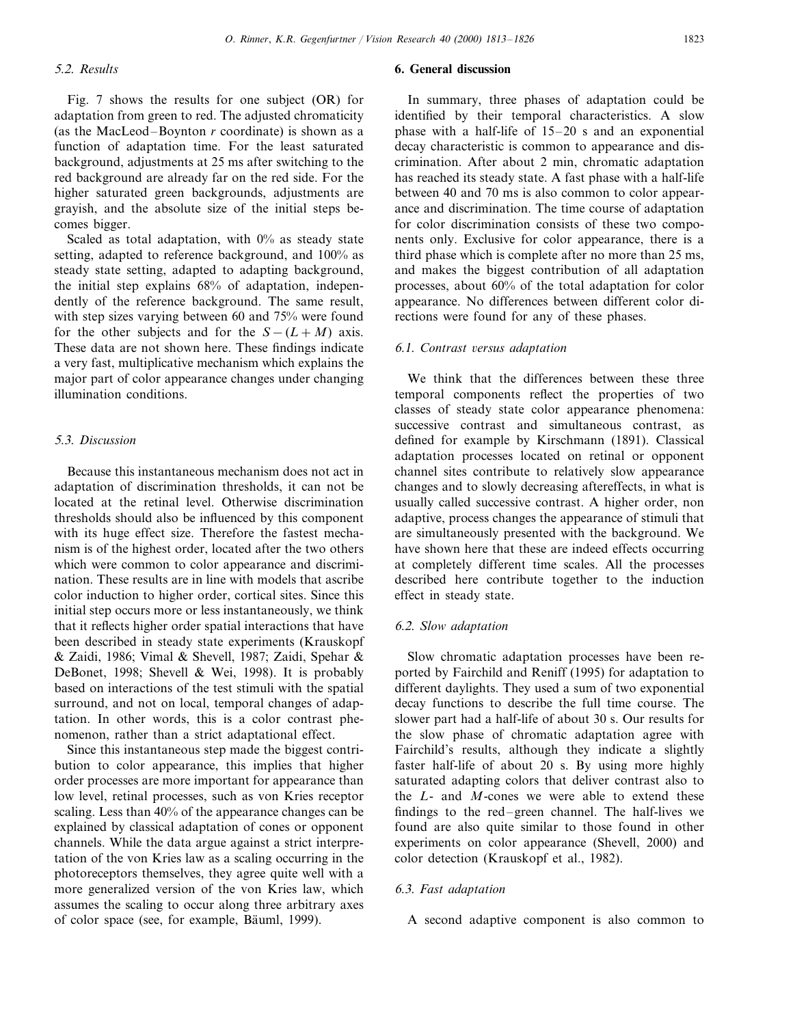## <sup>5</sup>.2. *Results*

Fig. 7 shows the results for one subject (OR) for adaptation from green to red. The adjusted chromaticity (as the MacLeod–Boynton *r* coordinate) is shown as a function of adaptation time. For the least saturated background, adjustments at 25 ms after switching to the red background are already far on the red side. For the higher saturated green backgrounds, adjustments are grayish, and the absolute size of the initial steps becomes bigger.

Scaled as total adaptation, with  $0\%$  as steady state setting, adapted to reference background, and 100% as steady state setting, adapted to adapting background, the initial step explains 68% of adaptation, independently of the reference background. The same result, with step sizes varying between 60 and 75% were found for the other subjects and for the  $S-(L+M)$  axis. These data are not shown here. These findings indicate a very fast, multiplicative mechanism which explains the major part of color appearance changes under changing illumination conditions.

## <sup>5</sup>.3. *Discussion*

Because this instantaneous mechanism does not act in adaptation of discrimination thresholds, it can not be located at the retinal level. Otherwise discrimination thresholds should also be influenced by this component with its huge effect size. Therefore the fastest mechanism is of the highest order, located after the two others which were common to color appearance and discrimination. These results are in line with models that ascribe color induction to higher order, cortical sites. Since this initial step occurs more or less instantaneously, we think that it reflects higher order spatial interactions that have been described in steady state experiments (Krauskopf & Zaidi, 1986; Vimal & Shevell, 1987; Zaidi, Spehar & DeBonet, 1998; Shevell & Wei, 1998). It is probably based on interactions of the test stimuli with the spatial surround, and not on local, temporal changes of adaptation. In other words, this is a color contrast phenomenon, rather than a strict adaptational effect.

Since this instantaneous step made the biggest contribution to color appearance, this implies that higher order processes are more important for appearance than low level, retinal processes, such as von Kries receptor scaling. Less than 40% of the appearance changes can be explained by classical adaptation of cones or opponent channels. While the data argue against a strict interpretation of the von Kries law as a scaling occurring in the photoreceptors themselves, they agree quite well with a more generalized version of the von Kries law, which assumes the scaling to occur along three arbitrary axes of color space (see, for example, Bäuml, 1999).

# **6. General discussion**

In summary, three phases of adaptation could be identified by their temporal characteristics. A slow phase with a half-life of 15–20 s and an exponential decay characteristic is common to appearance and discrimination. After about 2 min, chromatic adaptation has reached its steady state. A fast phase with a half-life between 40 and 70 ms is also common to color appearance and discrimination. The time course of adaptation for color discrimination consists of these two components only. Exclusive for color appearance, there is a third phase which is complete after no more than 25 ms, and makes the biggest contribution of all adaptation processes, about 60% of the total adaptation for color appearance. No differences between different color directions were found for any of these phases.

#### <sup>6</sup>.1. *Contrast* 6*ersus adaptation*

We think that the differences between these three temporal components reflect the properties of two classes of steady state color appearance phenomena: successive contrast and simultaneous contrast, as defined for example by Kirschmann (1891). Classical adaptation processes located on retinal or opponent channel sites contribute to relatively slow appearance changes and to slowly decreasing aftereffects, in what is usually called successive contrast. A higher order, non adaptive, process changes the appearance of stimuli that are simultaneously presented with the background. We have shown here that these are indeed effects occurring at completely different time scales. All the processes described here contribute together to the induction effect in steady state.

# 6.2. *Slow adaptation*

Slow chromatic adaptation processes have been reported by Fairchild and Reniff (1995) for adaptation to different daylights. They used a sum of two exponential decay functions to describe the full time course. The slower part had a half-life of about 30 s. Our results for the slow phase of chromatic adaptation agree with Fairchild's results, although they indicate a slightly faster half-life of about 20 s. By using more highly saturated adapting colors that deliver contrast also to the *L*- and *M*-cones we were able to extend these findings to the red–green channel. The half-lives we found are also quite similar to those found in other experiments on color appearance (Shevell, 2000) and color detection (Krauskopf et al., 1982).

## 6.3. *Fast adaptation*

A second adaptive component is also common to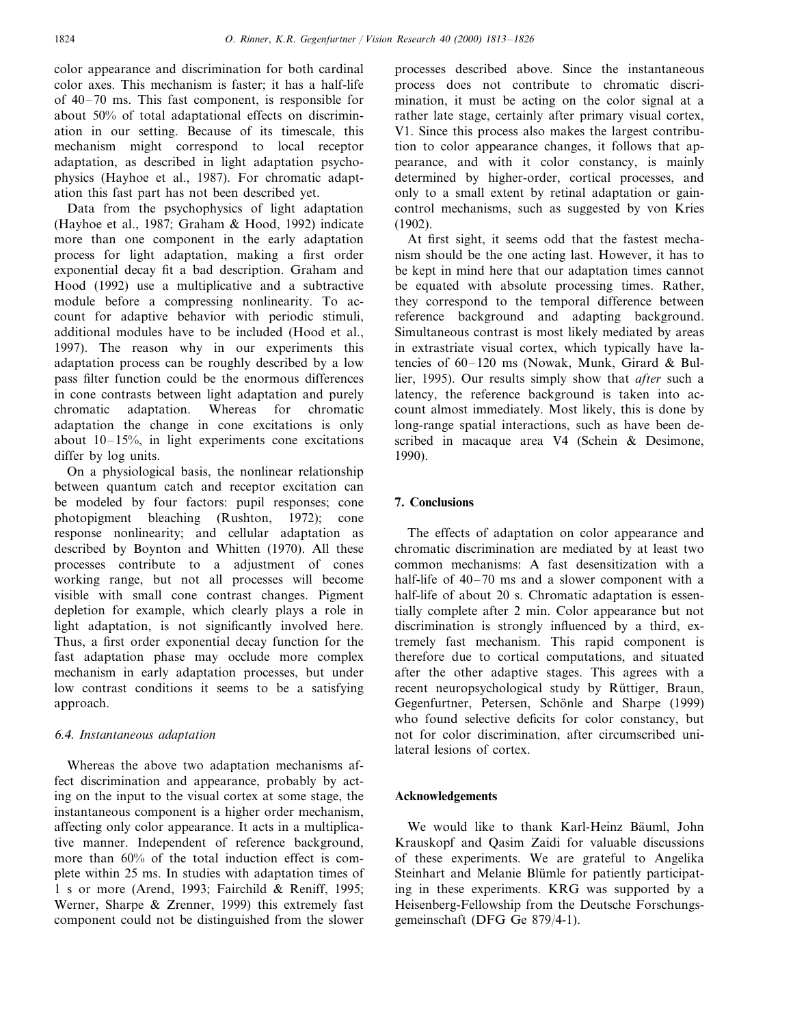color appearance and discrimination for both cardinal color axes. This mechanism is faster; it has a half-life of 40–70 ms. This fast component, is responsible for about 50% of total adaptational effects on discrimination in our setting. Because of its timescale, this mechanism might correspond to local receptor adaptation, as described in light adaptation psychophysics (Hayhoe et al., 1987). For chromatic adaptation this fast part has not been described yet.

Data from the psychophysics of light adaptation (Hayhoe et al., 1987; Graham & Hood, 1992) indicate more than one component in the early adaptation process for light adaptation, making a first order exponential decay fit a bad description. Graham and Hood (1992) use a multiplicative and a subtractive module before a compressing nonlinearity. To account for adaptive behavior with periodic stimuli, additional modules have to be included (Hood et al., 1997). The reason why in our experiments this adaptation process can be roughly described by a low pass filter function could be the enormous differences in cone contrasts between light adaptation and purely chromatic adaptation. Whereas for chromatic adaptation the change in cone excitations is only about  $10-15%$ , in light experiments cone excitations differ by log units.

On a physiological basis, the nonlinear relationship between quantum catch and receptor excitation can be modeled by four factors: pupil responses; cone photopigment bleaching (Rushton, 1972); cone response nonlinearity; and cellular adaptation as described by Boynton and Whitten (1970). All these processes contribute to a adjustment of cones working range, but not all processes will become visible with small cone contrast changes. Pigment depletion for example, which clearly plays a role in light adaptation, is not significantly involved here. Thus, a first order exponential decay function for the fast adaptation phase may occlude more complex mechanism in early adaptation processes, but under low contrast conditions it seems to be a satisfying approach.

# 6.4. *Instantaneous adaptation*

Whereas the above two adaptation mechanisms affect discrimination and appearance, probably by acting on the input to the visual cortex at some stage, the instantaneous component is a higher order mechanism, affecting only color appearance. It acts in a multiplicative manner. Independent of reference background, more than 60% of the total induction effect is complete within 25 ms. In studies with adaptation times of 1 s or more (Arend, 1993; Fairchild & Reniff, 1995; Werner, Sharpe & Zrenner, 1999) this extremely fast component could not be distinguished from the slower processes described above. Since the instantaneous process does not contribute to chromatic discrimination, it must be acting on the color signal at a rather late stage, certainly after primary visual cortex, V1. Since this process also makes the largest contribution to color appearance changes, it follows that appearance, and with it color constancy, is mainly determined by higher-order, cortical processes, and only to a small extent by retinal adaptation or gaincontrol mechanisms, such as suggested by von Kries (1902).

At first sight, it seems odd that the fastest mechanism should be the one acting last. However, it has to be kept in mind here that our adaptation times cannot be equated with absolute processing times. Rather, they correspond to the temporal difference between reference background and adapting background. Simultaneous contrast is most likely mediated by areas in extrastriate visual cortex, which typically have latencies of 60–120 ms (Nowak, Munk, Girard & Bullier, 1995). Our results simply show that *after* such a latency, the reference background is taken into account almost immediately. Most likely, this is done by long-range spatial interactions, such as have been described in macaque area V4 (Schein & Desimone, 1990).

# **7. Conclusions**

The effects of adaptation on color appearance and chromatic discrimination are mediated by at least two common mechanisms: A fast desensitization with a half-life of 40–70 ms and a slower component with a half-life of about 20 s. Chromatic adaptation is essentially complete after 2 min. Color appearance but not discrimination is strongly influenced by a third, extremely fast mechanism. This rapid component is therefore due to cortical computations, and situated after the other adaptive stages. This agrees with a recent neuropsychological study by Rüttiger, Braun, Gegenfurtner, Petersen, Schönle and Sharpe (1999) who found selective deficits for color constancy, but not for color discrimination, after circumscribed unilateral lesions of cortex.

# **Acknowledgements**

We would like to thank Karl-Heinz Bäuml, John Krauskopf and Qasim Zaidi for valuable discussions of these experiments. We are grateful to Angelika Steinhart and Melanie Blümle for patiently participating in these experiments. KRG was supported by a Heisenberg-Fellowship from the Deutsche Forschungsgemeinschaft (DFG Ge 879/4-1).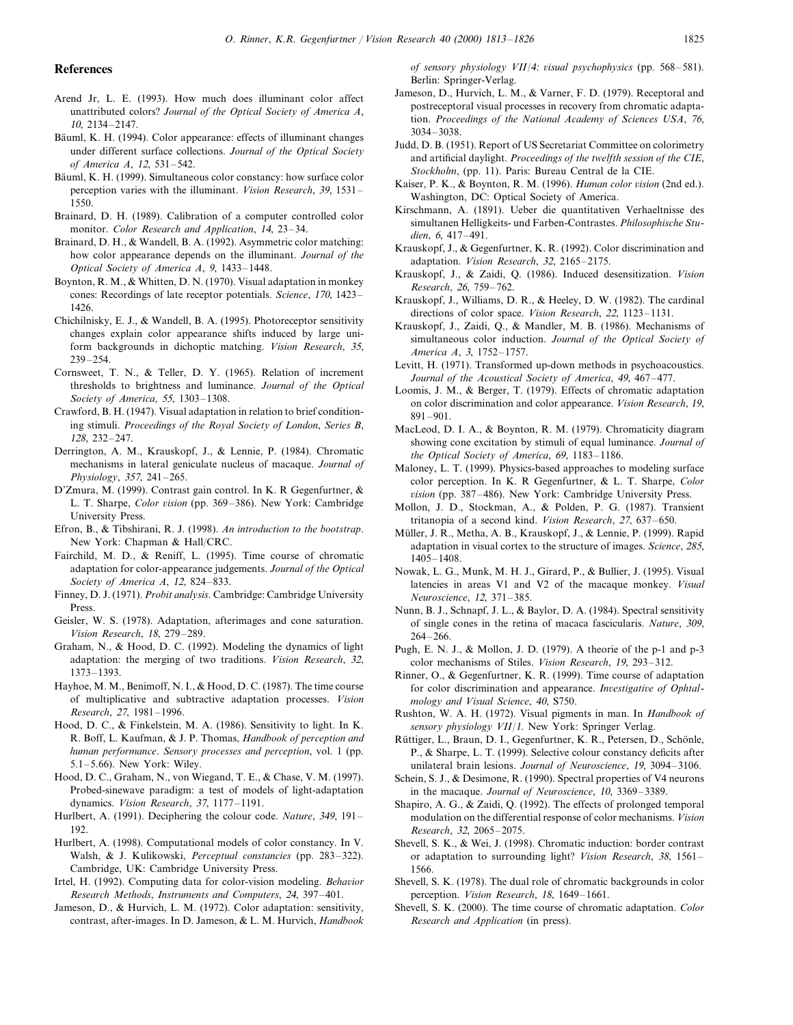#### **References**

- Arend Jr, L. E. (1993). How much does illuminant color affect unattributed colors? *Journal of the Optical Society of America A*, 10, 2134–2147.
- Bäuml, K. H. (1994). Color appearance: effects of illuminant changes under different surface collections. *Journal of the Optical Society of America A*, 12, 531–542.
- Bäuml, K. H. (1999). Simultaneous color constancy: how surface color perception varies with the illuminant. *Vision Research*, 39, 1531– 1550.
- Brainard, D. H. (1989). Calibration of a computer controlled color monitor. *Color Research and Application*, 14, 23–34.
- Brainard, D. H., & Wandell, B. A. (1992). Asymmetric color matching: how color appearance depends on the illuminant. *Journal of the Optical Society of America A*, 9, 1433–1448.
- Boynton, R. M., & Whitten, D. N. (1970). Visual adaptation in monkey cones: Recordings of late receptor potentials. *Science*, 170, 1423– 1426.
- Chichilnisky, E. J., & Wandell, B. A. (1995). Photoreceptor sensitivity changes explain color appearance shifts induced by large uniform backgrounds in dichoptic matching. *Vision Research*, 35, 239–254.
- Cornsweet, T. N., & Teller, D. Y. (1965). Relation of increment thresholds to brightness and luminance. *Journal of the Optical Society of America*, <sup>55</sup>, 1303–1308.
- Crawford, B. H. (1947). Visual adaptation in relation to brief conditioning stimuli. *Proceedings of the Royal Society of London*, *Series B*, 128, 232–247.
- Derrington, A. M., Krauskopf, J., & Lennie, P. (1984). Chromatic mechanisms in lateral geniculate nucleus of macaque. *Journal of Physiology*, 357, 241–265.
- D'Zmura, M. (1999). Contrast gain control. In K. R Gegenfurtner, & L. T. Sharpe, *Color vision* (pp. 369–386). New York: Cambridge University Press.
- Efron, B., & Tibshirani, R. J. (1998). *An introduction to the bootstrap*. New York: Chapman & Hall/CRC.
- Fairchild, M. D., & Reniff, L. (1995). Time course of chromatic adaptation for color-appearance judgements. *Journal of the Optical Society of America A*, 12, 824–833.
- Finney, D. J. (1971). *Probit analysis*. Cambridge: Cambridge University Press.
- Geisler, W. S. (1978). Adaptation, afterimages and cone saturation. *Vision Research*, 18, 279–289.
- Graham, N., & Hood, D. C. (1992). Modeling the dynamics of light adaptation: the merging of two traditions. *Vision Research*, 32, 1373–1393.
- Hayhoe, M. M., Benimoff, N. I., & Hood, D. C. (1987). The time course of multiplicative and subtractive adaptation processes. *Vision Research*, 27, 1981–1996.
- Hood, D. C., & Finkelstein, M. A. (1986). Sensitivity to light. In K. R. Boff, L. Kaufman, & J. P. Thomas, *Handbook of perception and human performance*. *Sensory processes and perception*, vol. 1 (pp. 5.1–5.66). New York: Wiley.
- Hood, D. C., Graham, N., von Wiegand, T. E., & Chase, V. M. (1997). Probed-sinewave paradigm: a test of models of light-adaptation dynamics. *Vision Research*, 37, 1177–1191.
- Hurlbert, A. (1991). Deciphering the colour code. *Nature*, 349, 191– 192.
- Hurlbert, A. (1998). Computational models of color constancy. In V. Walsh, & J. Kulikowski, *Perceptual constancies* (pp. 283–322). Cambridge, UK: Cambridge University Press.
- Irtel, H. (1992). Computing data for color-vision modeling. *Behavior Research Methods*, *Instruments and Computers*, <sup>24</sup>, 397–401.
- Jameson, D., & Hurvich, L. M. (1972). Color adaptation: sensitivity, contrast, after-images. In D. Jameson, & L. M. Hurvich, *Handbook*

*of sensory physiology VII/4: visual psychophysics* (pp. 568–581). Berlin: Springer-Verlag.

- Jameson, D., Hurvich, L. M., & Varner, F. D. (1979). Receptoral and postreceptoral visual processes in recovery from chromatic adaptation. *Proceedings of the National Academy of Sciences USA*, 76, 3034–3038.
- Judd, D. B. (1951). Report of US Secretariat Committee on colorimetry and artificial daylight. *Proceedings of the twelfth session of the CIE*, *Stockholm*, (pp. 11). Paris: Bureau Central de la CIE.
- Kaiser, P. K., & Boynton, R. M. (1996). *Human color* 6*ision* (2nd ed.). Washington, DC: Optical Society of America.
- Kirschmann, A. (1891). Ueber die quantitativen Verhaeltnisse des simultanen Helligkeits- und Farben-Contrastes. *Philosophische Studien*, 6, 417–491.
- Krauskopf, J., & Gegenfurtner, K. R. (1992). Color discrimination and adaptation. *Vision Research*, 32, 2165–2175.
- Krauskopf, J., & Zaidi, Q. (1986). Induced desensitization. *Vision Research*, 26, 759–762.
- Krauskopf, J., Williams, D. R., & Heeley, D. W. (1982). The cardinal directions of color space. *Vision Research*, <sup>22</sup>, 1123–1131.
- Krauskopf, J., Zaidi, Q., & Mandler, M. B. (1986). Mechanisms of simultaneous color induction. *Journal of the Optical Society of America A*, 3, 1752–1757.
- Levitt, H. (1971). Transformed up-down methods in psychoacoustics. *Journal of the Acoustical Society of America*, 49, 467–477.
- Loomis, J. M., & Berger, T. (1979). Effects of chromatic adaptation on color discrimination and color appearance. *Vision Research*, 19, 891–901.
- MacLeod, D. I. A., & Boynton, R. M. (1979). Chromaticity diagram showing cone excitation by stimuli of equal luminance. *Journal of the Optical Society of America*, 69, 1183–1186.
- Maloney, L. T. (1999). Physics-based approaches to modeling surface color perception. In K. R Gegenfurtner, & L. T. Sharpe, *Color vision* (pp. 387–486). New York: Cambridge University Press.
- Mollon, J. D., Stockman, A., & Polden, P. G. (1987). Transient tritanopia of a second kind. *Vision Research*, 27, 637–650.
- Müller, J. R., Metha, A. B., Krauskopf, J., & Lennie, P. (1999). Rapid adaptation in visual cortex to the structure of images. *Science*, 285, 1405–1408.
- Nowak, L. G., Munk, M. H. J., Girard, P., & Bullier, J. (1995). Visual latencies in areas V1 and V2 of the macaque monkey. *Visual Neuroscience*, 12, 371–385.
- Nunn, B. J., Schnapf, J. L., & Baylor, D. A. (1984). Spectral sensitivity of single cones in the retina of macaca fascicularis. *Nature*, 309, 264–266.
- Pugh, E. N. J., & Mollon, J. D. (1979). A theorie of the p-1 and p-3 color mechanisms of Stiles. *Vision Research*, 19, 293–312.
- Rinner, O., & Gegenfurtner, K. R. (1999). Time course of adaptation for color discrimination and appearance. *Investigative of Ophtalmology and Visual Science*, 40, S750.
- Rushton, W. A. H. (1972). Visual pigments in man. In *Handbook of sensory physiology VII*/1. New York: Springer Verlag.
- Rüttiger, L., Braun, D. I., Gegenfurtner, K. R., Petersen, D., Schönle, P., & Sharpe, L. T. (1999). Selective colour constancy deficits after unilateral brain lesions. *Journal of Neuroscience*, 19, 3094–3106.
- Schein, S. J., & Desimone, R. (1990). Spectral properties of V4 neurons in the macaque. *Journal of Neuroscience*, 10, 3369–3389.
- Shapiro, A. G., & Zaidi, Q. (1992). The effects of prolonged temporal modulation on the differential response of color mechanisms. *Vision Research*, 32, 2065–2075.
- Shevell, S. K., & Wei, J. (1998). Chromatic induction: border contrast or adaptation to surrounding light? *Vision Research*, 38, 1561– 1566.
- Shevell, S. K. (1978). The dual role of chromatic backgrounds in color perception. *Vision Research*, 18, 1649–1661.
- Shevell, S. K. (2000). The time course of chromatic adaptation. *Color Research and Application* (in press).